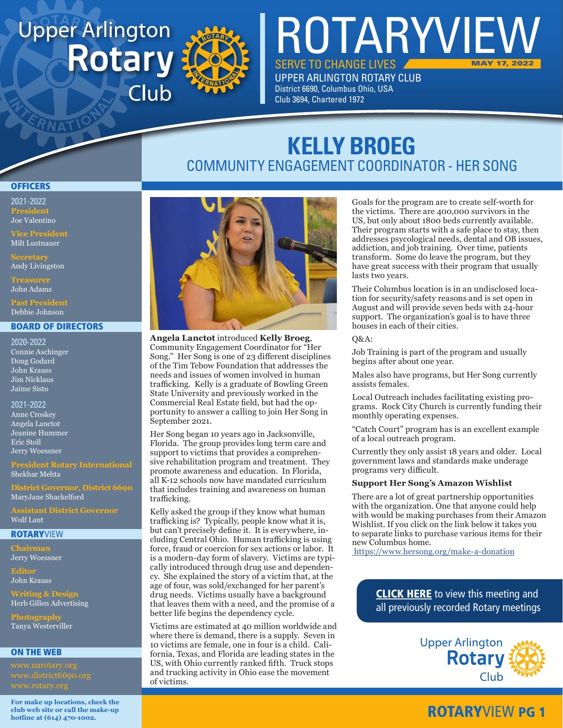# **Upper Arlington Rotary** Club



# **KELLY BROEG** COMMUNITY ENGAGEMENT COORDINATOR - HER SONG

SERVE TO CHANGE LIVES UPPER ARLINGTON ROTARY CLUB

District 6690, Columbus Ohio, USA Club 3694, Chartered 1972

ROTARYVIEW

#### **OFFICERS**

2021-2022 **President** Joe Valentino

Milt Lustnauer

Andy Livingston

John Adams

Debbie Johnson

#### BOARD OF DIRECTORS

2020-2022 Connie Aschinger Doug Godard John Krauss Jim Nicklaus Jaime Sisto

2021-2022 Anne Croskey Angela Lanctot Jeanine Hummer Eric Stoll Jerry Woessner

**President Rotary International** Shekhar Mehta

**District Governor, District 6690** MaryJane Shackelford

Wolf Lant

#### **ROTARYVIEW**

**Chairman** Jerry Woessner

**Editor** John Krauss

**Writing & Design** Herb Gillen Advertising

**Photography** Tanya Westerviller

#### ON THE WEB

**For make up locations, check the club web site or call the make-up hotline at (614) 470-1002.**



**Angela Lanctot** introduced **Kelly Broeg**, Community Engagement Coordinator for "Her Song." Her Song is one of 23 different disciplines of the Tim Tebow Foundation that addresses the needs and issues of women involved in human trafficking. Kelly is a graduate of Bowling Green State University and previously worked in the Commercial Real Estate field, but had the opportunity to answer a calling to join Her Song in September 2021.

Her Song began 10 years ago in Jacksonville, Florida. The group provides long term care and support to victims that provides a comprehensive rehabilitation program and treatment. They promote awareness and education. In Florida, all K-12 schools now have mandated curriculum that includes training and awareness on human trafficking.

Kelly asked the group if they know what human trafficking is? Typically, people know what it is, but can't precisely define it. It is everywhere, including Central Ohio. Human trafficking is using force, fraud or coercion for sex actions or labor. It is a modern-day form of slavery. Victims are typically introduced through drug use and dependency. She explained the story of a victim that, at the age of four, was sold/exchanged for her parent's drug needs. Victims usually have a background that leaves them with a need, and the promise of a better life begins the dependency cycle.

Victims are estimated at 40 million worldwide and where there is demand, there is a supply. Seven in 10 victims are female, one in four is a child. California, Texas, and Florida are leading states in the US, with Ohio currently ranked fifth. Truck stops and trucking activity in Ohio ease the movement of victims.

Goals for the program are to create self-worth for the victims. There are 400,000 survivors in the US, but only about 1800 beds currently available. Their program starts with a safe place to stay, then addresses psycological needs, dental and OB issues, addiction, and job training. Over time, patients transform. Some do leave the program, but they have great success with their program that usually lasts two years.

MAY 17, 2022

Their Columbus location is in an undisclosed location for security/safety reasons and is set open in August and will provide seven beds with 24-hour support. The organization's goal is to have three houses in each of their cities.

 $O&A$ :

Job Training is part of the program and usually begins after about one year.

Males also have programs, but Her Song currently assists females.

Local Outreach includes facilitating existing programs. Rock City Church is currently funding their monthly operating expenses.

"Catch Court" program has is an excellent example of a local outreach program.

Currently they only assist 18 years and older. Local government laws and standards make underage programs very difficult.

#### **Support Her Song's Amazon Wishlist**

There are a lot of great partnership opportunities with the organization. One that anyone could help with would be making purchases from their Amazon Wishlist. If you click on the link below it takes you to separate links to purchase various items for their new Columbus home.

<https://www.hersong.org/make-a-donation>

**[CLICK HERE](www.uarotary.org/zoom-meeting-recordings)** to view this meeting and all previously recorded Rotary meetings



### ROTARYVIEW PG 1